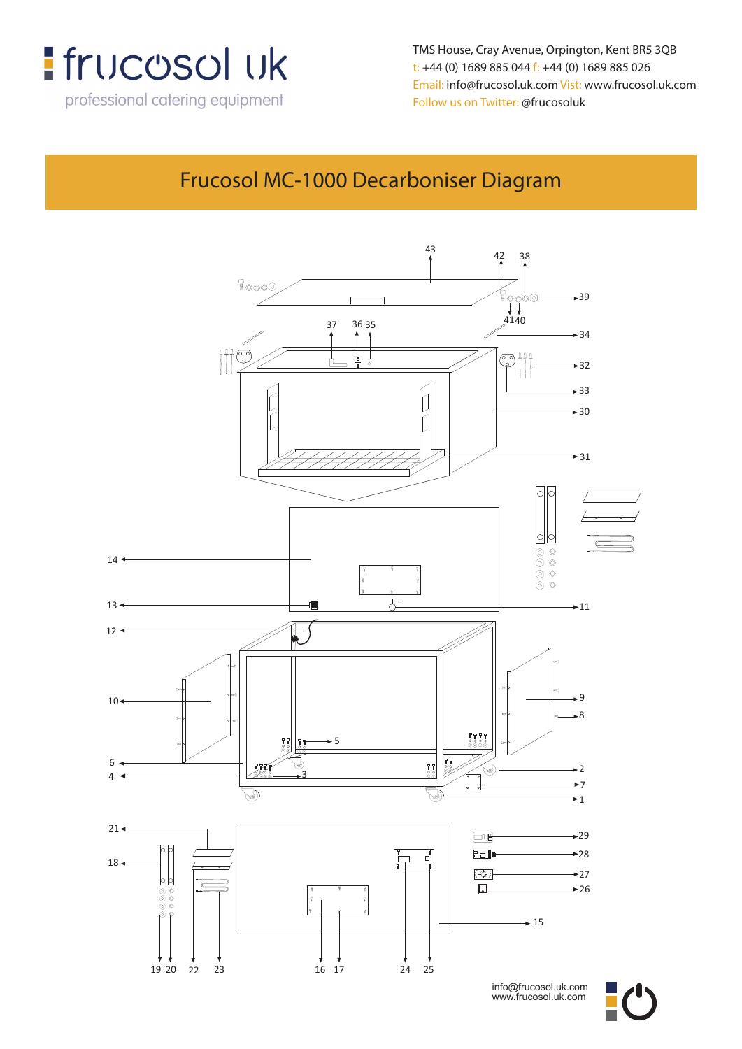

**TMS House, Crey Avenue, Orpington, Kent, BR5 3QB** TMS House, Cray Avenue, Orpington, Kent BR5 3QB **t: +44 (0) 1689 885 044 f: +44 (0) 1689 885 026** t: +44 (0) 1689 885 044 f: +44 (0) 1689 885 026 **Email: info@frucosol.uk.com Vist: www.frucosol.uk.com** Email: info@frucosol.uk.com Vist: www.frucosol.uk.com **Follow us on Twitter: @frucosoluk**

## nal catering equipment Follow us on Tw<del>itter:</del> @frucosoluk<br>Frucosol MC-1000 Decarboniser Diagram



info@frucosol.uk.com www.frucosol.uk.com